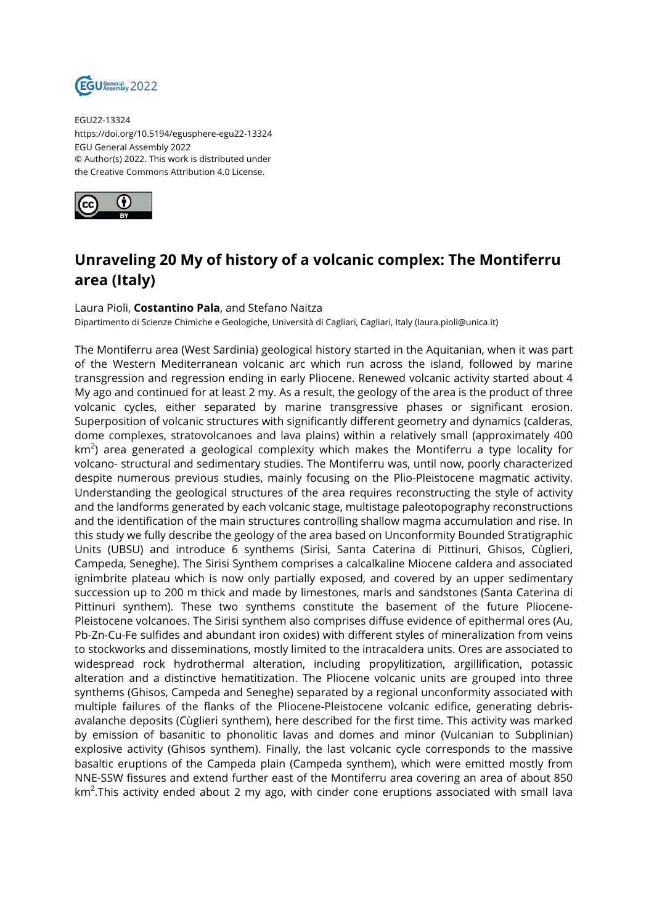

EGU22-13324 https://doi.org/10.5194/egusphere-egu22-13324 EGU General Assembly 2022 © Author(s) 2022. This work is distributed under the Creative Commons Attribution 4.0 License.



## **Unraveling 20 My of history of a volcanic complex: The Montiferru area (Italy)**

## Laura Pioli, **Costantino Pala**, and Stefano Naitza

Dipartimento di Scienze Chimiche e Geologiche, Università di Cagliari, Cagliari, Italy (laura.pioli@unica.it)

The Montiferru area (West Sardinia) geological history started in the Aquitanian, when it was part of the Western Mediterranean volcanic arc which run across the island, followed by marine transgression and regression ending in early Pliocene. Renewed volcanic activity started about 4 My ago and continued for at least 2 my. As a result, the geology of the area is the product of three volcanic cycles, either separated by marine transgressive phases or significant erosion. Superposition of volcanic structures with significantly different geometry and dynamics (calderas, dome complexes, stratovolcanoes and lava plains) within a relatively small (approximately 400 km $^2$ ) area generated a geological complexity which makes the Montiferru a type locality for volcano- structural and sedimentary studies. The Montiferru was, until now, poorly characterized despite numerous previous studies, mainly focusing on the Plio-Pleistocene magmatic activity. Understanding the geological structures of the area requires reconstructing the style of activity and the landforms generated by each volcanic stage, multistage paleotopography reconstructions and the identification of the main structures controlling shallow magma accumulation and rise. In this study we fully describe the geology of the area based on Unconformity Bounded Stratigraphic Units (UBSU) and introduce 6 synthems (Sirisi, Santa Caterina di Pittinuri, Ghisos, Cùglieri, Campeda, Seneghe). The Sirisi Synthem comprises a calcalkaline Miocene caldera and associated ignimbrite plateau which is now only partially exposed, and covered by an upper sedimentary succession up to 200 m thick and made by limestones, marls and sandstones (Santa Caterina di Pittinuri synthem). These two synthems constitute the basement of the future Pliocene-Pleistocene volcanoes. The Sirisi synthem also comprises diffuse evidence of epithermal ores (Au, Pb-Zn-Cu-Fe sulfides and abundant iron oxides) with different styles of mineralization from veins to stockworks and disseminations, mostly limited to the intracaldera units. Ores are associated to widespread rock hydrothermal alteration, including propylitization, argillification, potassic alteration and a distinctive hematitization. The Pliocene volcanic units are grouped into three synthems (Ghisos, Campeda and Seneghe) separated by a regional unconformity associated with multiple failures of the flanks of the Pliocene-Pleistocene volcanic edifice, generating debrisavalanche deposits (Cùglieri synthem), here described for the first time. This activity was marked by emission of basanitic to phonolitic lavas and domes and minor (Vulcanian to Subplinian) explosive activity (Ghisos synthem). Finally, the last volcanic cycle corresponds to the massive basaltic eruptions of the Campeda plain (Campeda synthem), which were emitted mostly from NNE-SSW fissures and extend further east of the Montiferru area covering an area of about 850 km $^2$ .This activity ended about 2 my ago, with cinder cone eruptions associated with small lava